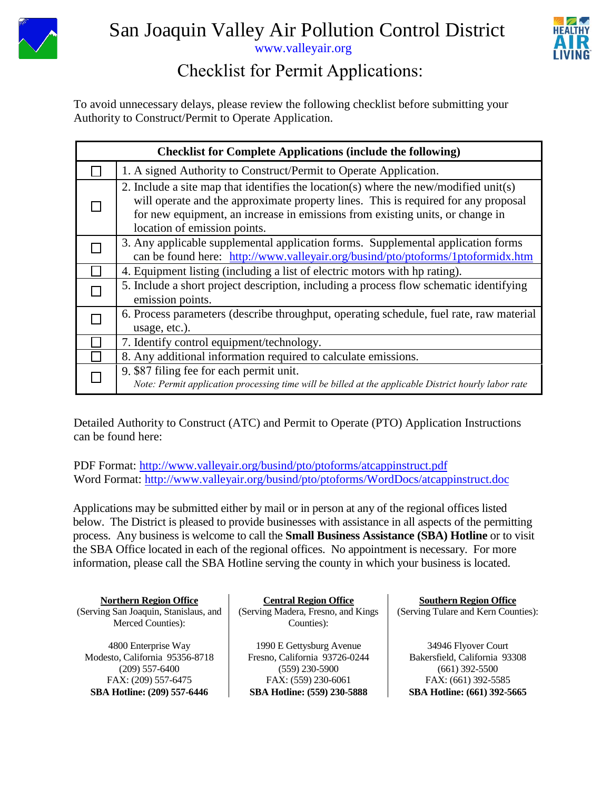



## [www.valleyair.org](http://www.valleyair.org/)

## Checklist for Permit Applications:

To avoid unnecessary delays, please review the following checklist before submitting your Authority to Construct/Permit to Operate Application.

| <b>Checklist for Complete Applications (include the following)</b> |                                                                                                                                                                                                                                                                                             |  |  |  |  |
|--------------------------------------------------------------------|---------------------------------------------------------------------------------------------------------------------------------------------------------------------------------------------------------------------------------------------------------------------------------------------|--|--|--|--|
|                                                                    | 1. A signed Authority to Construct/Permit to Operate Application.                                                                                                                                                                                                                           |  |  |  |  |
|                                                                    | 2. Include a site map that identifies the location(s) where the new/modified unit(s)<br>will operate and the approximate property lines. This is required for any proposal<br>for new equipment, an increase in emissions from existing units, or change in<br>location of emission points. |  |  |  |  |
|                                                                    | 3. Any applicable supplemental application forms. Supplemental application forms<br>can be found here: http://www.valleyair.org/busind/pto/ptoforms/1ptoformidx.htm                                                                                                                         |  |  |  |  |
|                                                                    | 4. Equipment listing (including a list of electric motors with hp rating).                                                                                                                                                                                                                  |  |  |  |  |
|                                                                    | 5. Include a short project description, including a process flow schematic identifying<br>emission points.                                                                                                                                                                                  |  |  |  |  |
|                                                                    | 6. Process parameters (describe throughput, operating schedule, fuel rate, raw material<br>usage, etc.).                                                                                                                                                                                    |  |  |  |  |
|                                                                    | 7. Identify control equipment/technology.                                                                                                                                                                                                                                                   |  |  |  |  |
|                                                                    | 8. Any additional information required to calculate emissions.                                                                                                                                                                                                                              |  |  |  |  |
|                                                                    | 9. \$87 filing fee for each permit unit.<br>Note: Permit application processing time will be billed at the applicable District hourly labor rate                                                                                                                                            |  |  |  |  |

Detailed Authority to Construct (ATC) and Permit to Operate (PTO) Application Instructions can be found here:

PDF Format: http://www.valleyair.org/busind/pto/ptoforms/atcappinstruct.pdf Word Format: http://www.valleyair.org/busind/pto/ptoforms/WordDocs/atcappinstruct.doc

Applications may be submitted either by mail or in person at any of the regional offices listed below. The District is pleased to provide businesses with assistance in all aspects of the permitting process. Any business is welcome to call the **Small Business Assistance (SBA) Hotline** or to visit the SBA Office located in each of the regional offices. No appointment is necessary. For more information, please call the SBA Hotline serving the county in which your business is located.

**Northern Region Office**

(Serving San Joaquin, Stanislaus, and Merced Counties):

4800 Enterprise Way Modesto, California 95356-8718 (209) 557-6400 FAX: (209) 557-6475 **SBA Hotline: (209) 557-6446**

**Central Region Office**

(Serving Madera, Fresno, and Kings Counties):

1990 E Gettysburg Avenue Fresno, California 93726-0244 (559) 230-5900 FAX: (559) 230-6061 **SBA Hotline: (559) 230-5888**

**Southern Region Office** (Serving Tulare and Kern Counties):

34946 Flyover Court Bakersfield, California 93308 (661) 392-5500 FAX: (661) 392-5585 **SBA Hotline: (661) 392-5665**